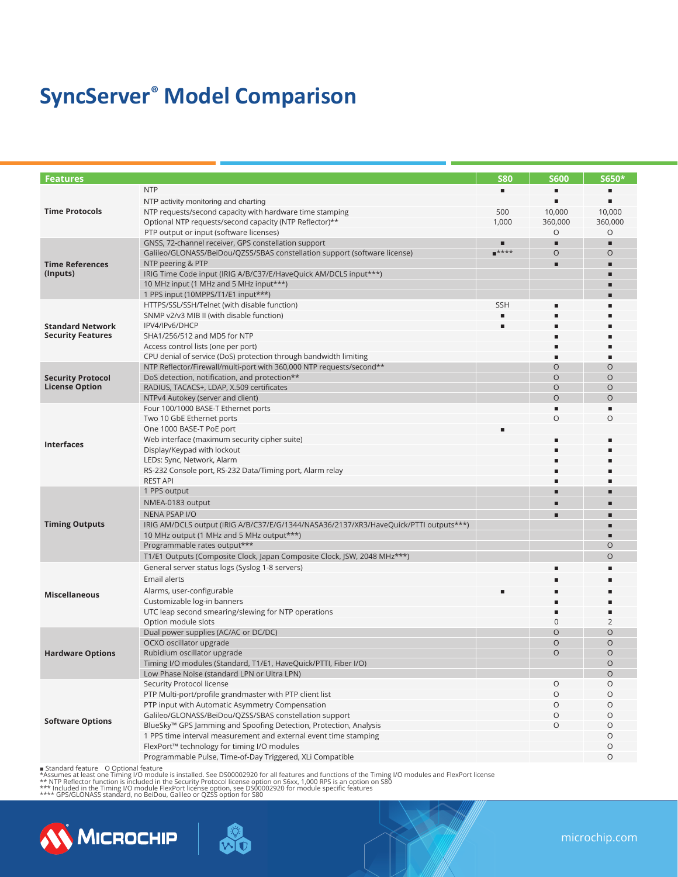# **SyncServer® Model Comparison**

| <b>Features</b>                                     |                                                                                                                | <b>S80</b> | <b>S600</b>    | S650*        |
|-----------------------------------------------------|----------------------------------------------------------------------------------------------------------------|------------|----------------|--------------|
|                                                     | <b>NTP</b>                                                                                                     |            |                |              |
|                                                     |                                                                                                                |            |                |              |
| <b>Time Protocols</b>                               | NTP activity monitoring and charting<br>NTP requests/second capacity with hardware time stamping               | 500        | 10,000         | 10,000       |
|                                                     | Optional NTP requests/second capacity (NTP Reflector)**                                                        | 1,000      | 360,000        | 360,000      |
|                                                     | PTP output or input (software licenses)                                                                        |            | O              | O            |
|                                                     | GNSS, 72-channel receiver, GPS constellation support                                                           |            | п              | п            |
| <b>Time References</b><br>(Inputs)                  | Galileo/GLONASS/BeiDou/QZSS/SBAS constellation support (software license)                                      | $****$     | $\circ$        | O            |
|                                                     | NTP peering & PTP                                                                                              |            | п              |              |
|                                                     | IRIG Time Code input (IRIG A/B/C37/E/HaveQuick AM/DCLS input***)                                               |            |                |              |
|                                                     | 10 MHz input (1 MHz and 5 MHz input***)                                                                        |            |                |              |
|                                                     | 1 PPS input (10MPPS/T1/E1 input***)                                                                            |            |                |              |
|                                                     | HTTPS/SSL/SSH/Telnet (with disable function)                                                                   | <b>SSH</b> |                |              |
| <b>Standard Network</b><br><b>Security Features</b> | SNMP v2/v3 MIB II (with disable function)                                                                      |            |                |              |
|                                                     | IPV4/IPv6/DHCP                                                                                                 |            |                |              |
|                                                     | SHA1/256/512 and MD5 for NTP                                                                                   |            |                |              |
|                                                     | Access control lists (one per port)                                                                            |            |                |              |
|                                                     | CPU denial of service (DoS) protection through bandwidth limiting                                              |            |                |              |
|                                                     | NTP Reflector/Firewall/multi-port with 360,000 NTP requests/second**                                           |            | $\circ$        | O            |
| <b>Security Protocol</b>                            | DoS detection, notification, and protection**                                                                  |            | $\circ$        | $\circ$      |
| <b>License Option</b>                               | RADIUS, TACACS+, LDAP, X.509 certificates                                                                      |            | $\circ$        | $\circ$      |
|                                                     | NTPv4 Autokey (server and client)                                                                              |            | $\Omega$       | $\Omega$     |
|                                                     | Four 100/1000 BASE-T Ethernet ports                                                                            |            |                |              |
|                                                     | Two 10 GbE Ethernet ports                                                                                      |            | $\Omega$       | $\Omega$     |
|                                                     | One 1000 BASE-T PoE port                                                                                       |            |                |              |
| <b>Interfaces</b>                                   | Web interface (maximum security cipher suite)                                                                  |            |                |              |
|                                                     | Display/Keypad with lockout                                                                                    |            |                |              |
|                                                     | LEDs: Sync, Network, Alarm                                                                                     |            |                |              |
|                                                     | RS-232 Console port, RS-232 Data/Timing port, Alarm relay                                                      |            |                |              |
|                                                     | <b>REST API</b>                                                                                                |            |                |              |
|                                                     | 1 PPS output                                                                                                   |            |                |              |
|                                                     | NMEA-0183 output                                                                                               |            |                |              |
|                                                     | <b>NENA PSAP I/O</b>                                                                                           |            |                |              |
| <b>Timing Outputs</b>                               | IRIG AM/DCLS output (IRIG A/B/C37/E/G/1344/NASA36/2137/XR3/HaveQuick/PTTI outputs***)                          |            |                |              |
|                                                     | 10 MHz output (1 MHz and 5 MHz output***)                                                                      |            |                |              |
|                                                     | Programmable rates output***                                                                                   |            |                | O            |
|                                                     | T1/E1 Outputs (Composite Clock, Japan Composite Clock, JSW, 2048 MHz***)                                       |            |                | $\Omega$     |
|                                                     | General server status logs (Syslog 1-8 servers)                                                                |            |                |              |
|                                                     | Email alerts                                                                                                   |            |                |              |
| <b>Miscellaneous</b>                                | Alarms, user-configurable                                                                                      |            |                |              |
|                                                     | Customizable log-in banners                                                                                    |            |                |              |
|                                                     | UTC leap second smearing/slewing for NTP operations                                                            |            |                | ٠            |
|                                                     | Option module slots                                                                                            |            | 0              | 2            |
|                                                     | Dual power supplies (AC/AC or DC/DC)                                                                           |            | $\circ$        | O            |
|                                                     | OCXO oscillator upgrade                                                                                        |            | $\circ$        | $\circ$      |
| <b>Hardware Options</b>                             | Rubidium oscillator upgrade                                                                                    |            | $\overline{O}$ | $\Omega$     |
|                                                     | Timing I/O modules (Standard, T1/E1, HaveQuick/PTTI, Fiber I/O)<br>Low Phase Noise (standard LPN or Ultra LPN) |            |                | O<br>$\circ$ |
| <b>Software Options</b>                             | Security Protocol license                                                                                      |            | $\circ$        | O            |
|                                                     | PTP Multi-port/profile grandmaster with PTP client list                                                        |            | $\circ$        | O            |
|                                                     | PTP input with Automatic Asymmetry Compensation                                                                |            | $\circ$        | O            |
|                                                     | Galileo/GLONASS/BeiDou/QZSS/SBAS constellation support                                                         |            | $\circ$        | 0            |
|                                                     | BlueSky <sup>™</sup> GPS Jamming and Spoofing Detection, Protection, Analysis                                  |            | $\circ$        | O            |
|                                                     | 1 PPS time interval measurement and external event time stamping                                               |            |                | O            |
|                                                     | FlexPort™ technology for timing I/O modules                                                                    |            |                | O            |
|                                                     | Programmable Pulse, Time-of-Day Triggered, XLi Compatible                                                      |            |                | O            |
|                                                     |                                                                                                                |            |                |              |

■ Standard feature O Optional feature<br>\*Assumes at least one Timing I/O module is installed. See DS00002920 for all features and functions of the Timing I/O modules and FlexPort license<br>\*\* NTP Reflector function is include